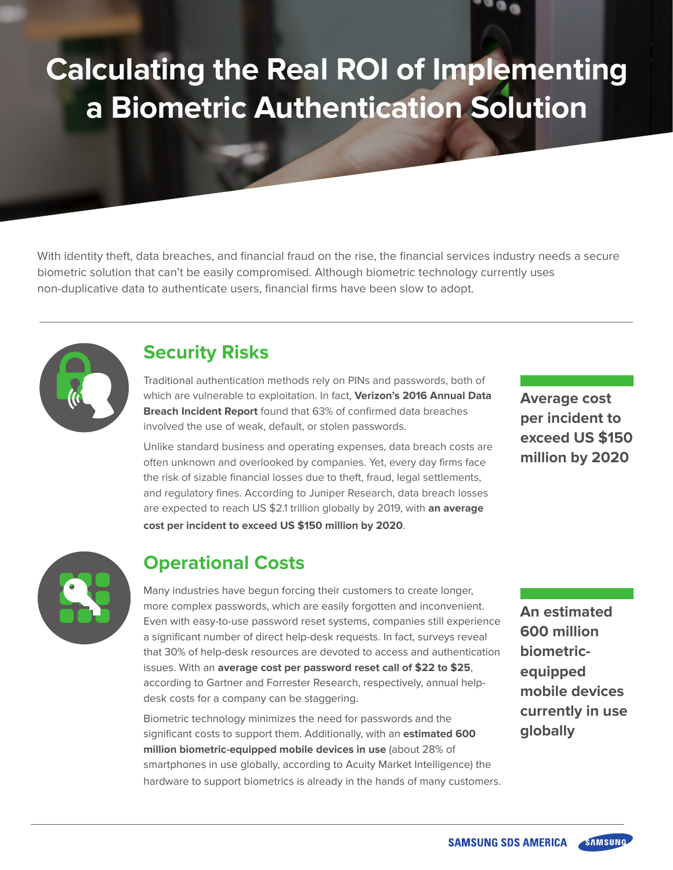# **Calculating the Real ROI of Implementing a Biometric Authentication Solution**

With identity theft, data breaches, and financial fraud on the rise, the financial services industry needs a secure biometric solution that can't be easily compromised. Although biometric technology currently uses non-duplicative data to authenticate users, financial firms have been slow to adopt.



#### **Security Risks**

Traditional authentication methods rely on PINs and passwords, both of which are vulnerable to exploitation. In fact, **Verizon's 2016 Annual Data Breach Incident Report** found that 63% of confirmed data breaches involved the use of weak, default, or stolen passwords.

Unlike standard business and operating expenses, data breach costs are often unknown and overlooked by companies. Yet, every day firms face the risk of sizable financial losses due to theft, fraud, legal settlements, and regulatory fines. According to Juniper Research, data breach losses are expected to reach US \$2.1 trillion globally by 2019, with **an average cost per incident to exceed US \$150 million by 2020**.

**Average cost per incident to exceed US \$150 million by 2020**



## **Operational Costs**

Many industries have begun forcing their customers to create longer, more complex passwords, which are easily forgotten and inconvenient. Even with easy-to-use password reset systems, companies still experience a significant number of direct help-desk requests. In fact, surveys reveal that 30% of help-desk resources are devoted to access and authentication issues. With an **average cost per password reset call of \$22 to \$25**, according to Gartner and Forrester Research, respectively, annual helpdesk costs for a company can be staggering.

Biometric technology minimizes the need for passwords and the significant costs to support them. Additionally, with an **estimated 600 million biometric-equipped mobile devices in use** (about 28% of smartphones in use globally, according to Acuity Market Intelligence) the hardware to support biometrics is already in the hands of many customers. **An estimated 600 million biometricequipped mobile devices currently in use globally**